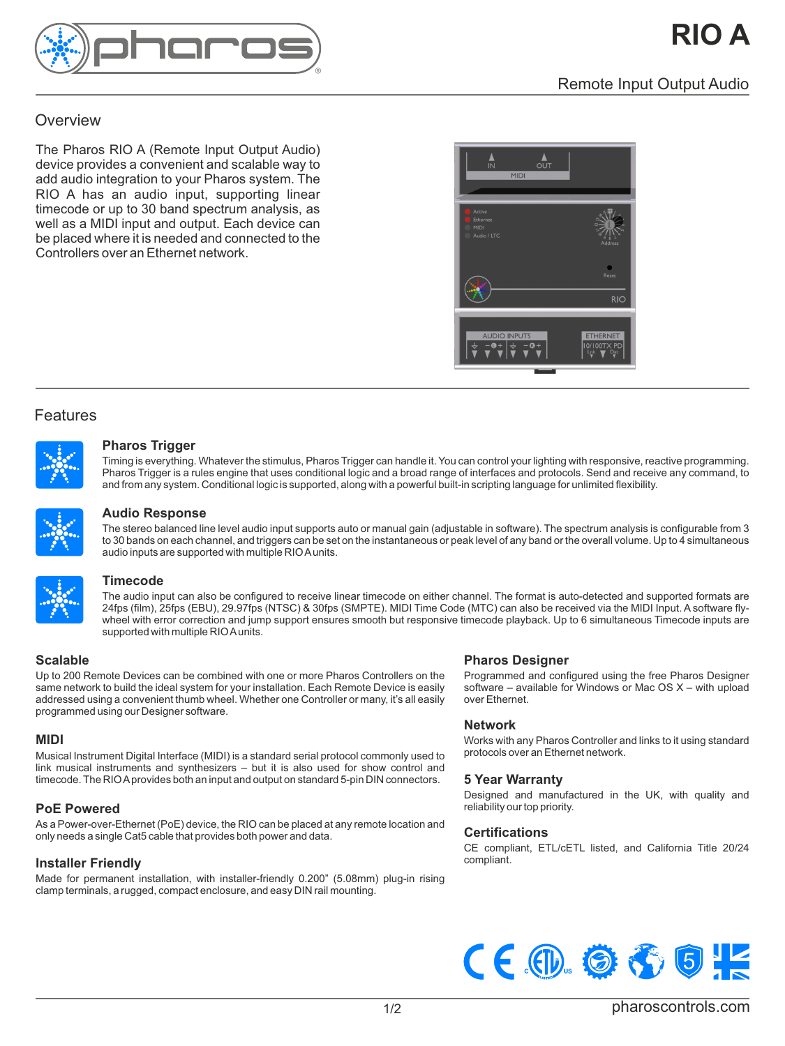

# **Overview**

The Pharos RIO A (Remote Input Output Audio) device provides a convenient and scalable way to add audio integration to your Pharos system. The RIO A has an audio input, supporting linear timecode or up to 30 band spectrum analysis, as well as a MIDI input and output. Each device can be placed where it is needed and connected to the Controllers over an Ethernet network.



# Features



# **Pharos Trigger**

Timing is everything. Whatever the stimulus, Pharos Trigger can handle it. You can control your lighting with responsive, reactive programming. Pharos Trigger is a rules engine that uses conditional logic and a broad range of interfaces and protocols. Send and receive any command, to and from any system. Conditional logic is supported, along with a powerful built-in scripting language for unlimited flexibility.



#### **Audio Response**

The stereo balanced line level audio input supports auto or manual gain (adjustable in software). The spectrum analysis is configurable from 3 to 30 bands on each channel, and triggers can be set on the instantaneous or peak level of any band or the overall volume. Up to 4 simultaneous audio inputs are supported with multiple RIO A units.



#### **Timecode**

The audio input can also be configured to receive linear timecode on either channel. The format is auto-detected and supported formats are 24fps (film), 25fps (EBU), 29.97fps (NTSC) & 30fps (SMPTE). MIDI Time Code (MTC) can also be received via the MIDI Input. A software flywheel with error correction and jump support ensures smooth but responsive timecode playback. Up to 6 simultaneous Timecode inputs are supported with multiple RIO A units.

# **Scalable**

Up to 200 Remote Devices can be combined with one or more Pharos Controllers on the same network to build the ideal system for your installation. Each Remote Device is easily addressed using a convenient thumb wheel. Whether one Controller or many, it's all easily programmed using our Designer software.

# **MIDI**

Musical Instrument Digital Interface (MIDI) is a standard serial protocol commonly used to link musical instruments and synthesizers – but it is also used for show control and timecode. The RIO A provides both an input and output on standard 5-pin DIN connectors.

# **PoE Powered**

As a Power-over-Ethernet (PoE) device, the RIO can be placed at any remote location and only needs a single Cat5 cable that provides both power and data.

# **Installer Friendly**

Made for permanent installation, with installer-friendly 0.200" (5.08mm) plug-in rising clamp terminals, a rugged, compact enclosure, and easy DIN rail mounting.

#### **Pharos Designer**

Programmed and configured using the free Pharos Designer software – available for Windows or Mac OS X – with upload over Ethernet.

#### **Network**

Works with any Pharos Controller and links to it using standard protocols over an Ethernet network.

#### **5 Year Warranty**

Designed and manufactured in the UK, with quality and reliability our top priority.

# **Certifications**

CE compliant, ETL/cETL listed, and California Title 20/24 compliant.